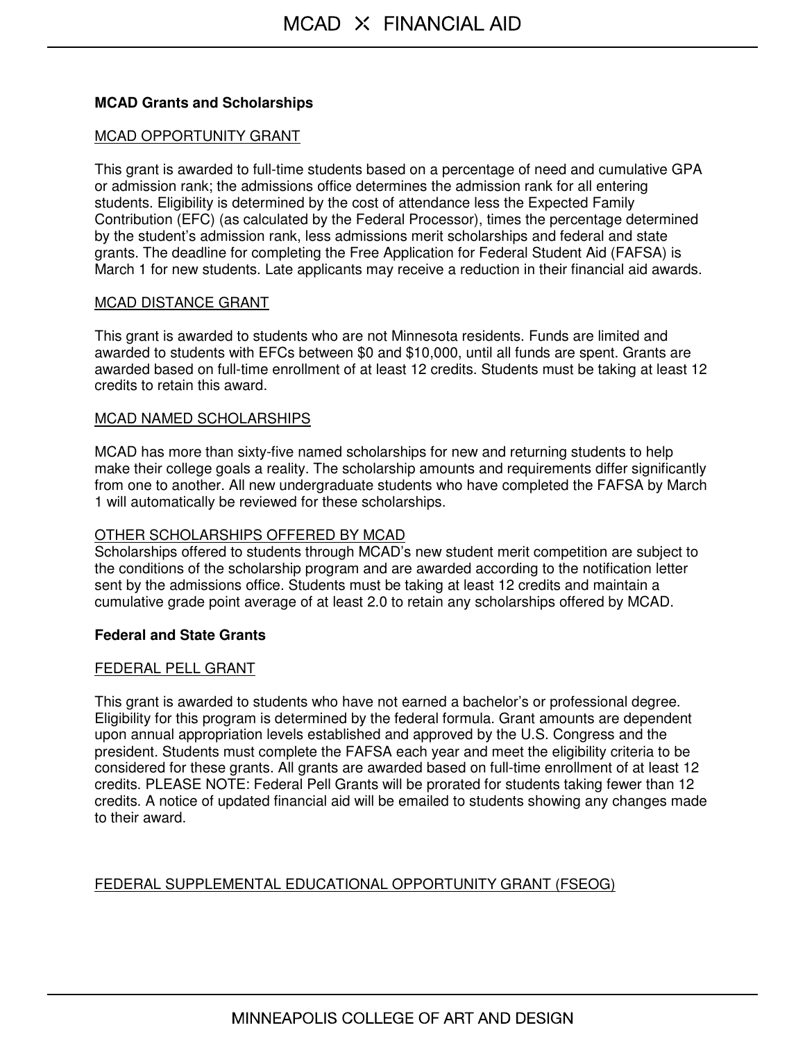# **MCAD Grants and Scholarships**

## MCAD OPPORTUNITY GRANT

This grant is awarded to full-time students based on a percentage of need and cumulative GPA or admission rank; the admissions office determines the admission rank for all entering students. Eligibility is determined by the cost of attendance less the Expected Family Contribution (EFC) (as calculated by the Federal Processor), times the percentage determined by the student's admission rank, less admissions merit scholarships and federal and state grants. The deadline for completing the Free Application for Federal Student Aid (FAFSA) is March 1 for new students. Late applicants may receive a reduction in their financial aid awards.

## MCAD DISTANCE GRANT

This grant is awarded to students who are not Minnesota residents. Funds are limited and awarded to students with EFCs between \$0 and \$10,000, until all funds are spent. Grants are awarded based on full-time enrollment of at least 12 credits. Students must be taking at least 12 credits to retain this award.

## MCAD NAMED SCHOLARSHIPS

MCAD has more than sixty-five named scholarships for new and returning students to help make their college goals a reality. The scholarship amounts and requirements differ significantly from one to another. All new undergraduate students who have completed the FAFSA by March 1 will automatically be reviewed for these scholarships.

# OTHER SCHOLARSHIPS OFFERED BY MCAD

Scholarships offered to students through MCAD's new student merit competition are subject to the conditions of the scholarship program and are awarded according to the notification letter sent by the admissions office. Students must be taking at least 12 credits and maintain a cumulative grade point average of at least 2.0 to retain any scholarships offered by MCAD.

# **Federal and State Grants**

#### FEDERAL PELL GRANT

This grant is awarded to students who have not earned a bachelor's or professional degree. Eligibility for this program is determined by the federal formula. Grant amounts are dependent upon annual appropriation levels established and approved by the U.S. Congress and the president. Students must complete the FAFSA each year and meet the eligibility criteria to be considered for these grants. All grants are awarded based on full-time enrollment of at least 12 credits. PLEASE NOTE: Federal Pell Grants will be prorated for students taking fewer than 12 credits. A notice of updated financial aid will be emailed to students showing any changes made to their award.

# FEDERAL SUPPLEMENTAL EDUCATIONAL OPPORTUNITY GRANT (FSEOG)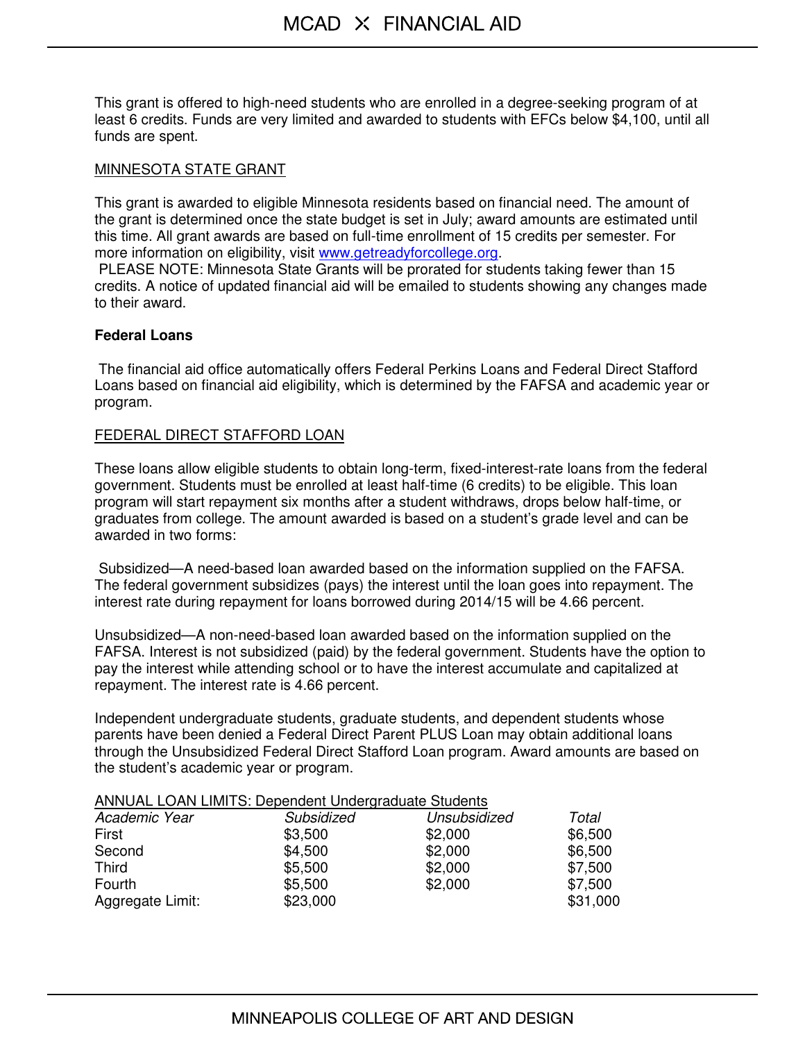This grant is offered to high-need students who are enrolled in a degree-seeking program of at least 6 credits. Funds are very limited and awarded to students with EFCs below \$4,100, until all funds are spent.

#### MINNESOTA STATE GRANT

This grant is awarded to eligible Minnesota residents based on financial need. The amount of the grant is determined once the state budget is set in July; award amounts are estimated until this time. All grant awards are based on full-time enrollment of 15 credits per semester. For more information on eligibility, visit www.getreadyforcollege.org.

 PLEASE NOTE: Minnesota State Grants will be prorated for students taking fewer than 15 credits. A notice of updated financial aid will be emailed to students showing any changes made to their award.

## **Federal Loans**

 The financial aid office automatically offers Federal Perkins Loans and Federal Direct Stafford Loans based on financial aid eligibility, which is determined by the FAFSA and academic year or program.

## FEDERAL DIRECT STAFFORD LOAN

These loans allow eligible students to obtain long-term, fixed-interest-rate loans from the federal government. Students must be enrolled at least half-time (6 credits) to be eligible. This loan program will start repayment six months after a student withdraws, drops below half-time, or graduates from college. The amount awarded is based on a student's grade level and can be awarded in two forms:

 Subsidized—A need-based loan awarded based on the information supplied on the FAFSA. The federal government subsidizes (pays) the interest until the loan goes into repayment. The interest rate during repayment for loans borrowed during 2014/15 will be 4.66 percent.

Unsubsidized—A non-need-based loan awarded based on the information supplied on the FAFSA. Interest is not subsidized (paid) by the federal government. Students have the option to pay the interest while attending school or to have the interest accumulate and capitalized at repayment. The interest rate is 4.66 percent.

Independent undergraduate students, graduate students, and dependent students whose parents have been denied a Federal Direct Parent PLUS Loan may obtain additional loans through the Unsubsidized Federal Direct Stafford Loan program. Award amounts are based on the student's academic year or program.

#### ANNUAL LOAN LIMITS: Dependent Undergraduate Students

| Academic Year    | Subsidized | Unsubsidized | Total    |
|------------------|------------|--------------|----------|
| First            | \$3,500    | \$2,000      | \$6,500  |
| Second           | \$4,500    | \$2,000      | \$6,500  |
| Third            | \$5,500    | \$2,000      | \$7,500  |
| Fourth           | \$5,500    | \$2,000      | \$7,500  |
| Aggregate Limit: | \$23,000   |              | \$31,000 |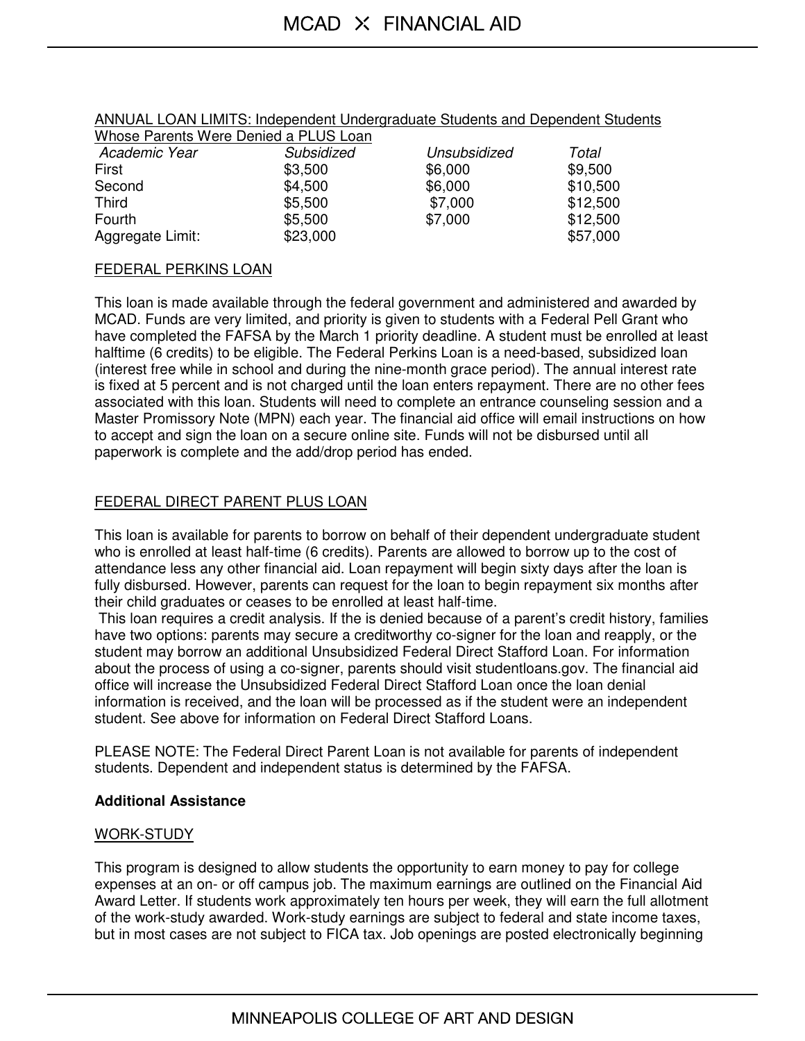| Whose Parents Were Denied a PLUS Loan |            |              |          |
|---------------------------------------|------------|--------------|----------|
| Academic Year                         | Subsidized | Unsubsidized | Total    |
| First                                 | \$3,500    | \$6,000      | \$9,500  |
| Second                                | \$4,500    | \$6,000      | \$10,500 |
| Third                                 | \$5,500    | \$7,000      | \$12,500 |
| Fourth                                | \$5,500    | \$7,000      | \$12,500 |
| Aggregate Limit:                      | \$23,000   |              | \$57,000 |

## ANNUAL LOAN LIMITS: Independent Undergraduate Students and Dependent Students

#### FEDERAL PERKINS LOAN

This loan is made available through the federal government and administered and awarded by MCAD. Funds are very limited, and priority is given to students with a Federal Pell Grant who have completed the FAFSA by the March 1 priority deadline. A student must be enrolled at least halftime (6 credits) to be eligible. The Federal Perkins Loan is a need-based, subsidized loan (interest free while in school and during the nine-month grace period). The annual interest rate is fixed at 5 percent and is not charged until the loan enters repayment. There are no other fees associated with this loan. Students will need to complete an entrance counseling session and a Master Promissory Note (MPN) each year. The financial aid office will email instructions on how to accept and sign the loan on a secure online site. Funds will not be disbursed until all paperwork is complete and the add/drop period has ended.

# FEDERAL DIRECT PARENT PLUS LOAN

This loan is available for parents to borrow on behalf of their dependent undergraduate student who is enrolled at least half-time (6 credits). Parents are allowed to borrow up to the cost of attendance less any other financial aid. Loan repayment will begin sixty days after the loan is fully disbursed. However, parents can request for the loan to begin repayment six months after their child graduates or ceases to be enrolled at least half-time.

 This loan requires a credit analysis. If the is denied because of a parent's credit history, families have two options: parents may secure a creditworthy co-signer for the loan and reapply, or the student may borrow an additional Unsubsidized Federal Direct Stafford Loan. For information about the process of using a co-signer, parents should visit studentloans.gov. The financial aid office will increase the Unsubsidized Federal Direct Stafford Loan once the loan denial information is received, and the loan will be processed as if the student were an independent student. See above for information on Federal Direct Stafford Loans.

PLEASE NOTE: The Federal Direct Parent Loan is not available for parents of independent students. Dependent and independent status is determined by the FAFSA.

# **Additional Assistance**

#### WORK-STUDY

This program is designed to allow students the opportunity to earn money to pay for college expenses at an on- or off campus job. The maximum earnings are outlined on the Financial Aid Award Letter. If students work approximately ten hours per week, they will earn the full allotment of the work-study awarded. Work-study earnings are subject to federal and state income taxes, but in most cases are not subject to FICA tax. Job openings are posted electronically beginning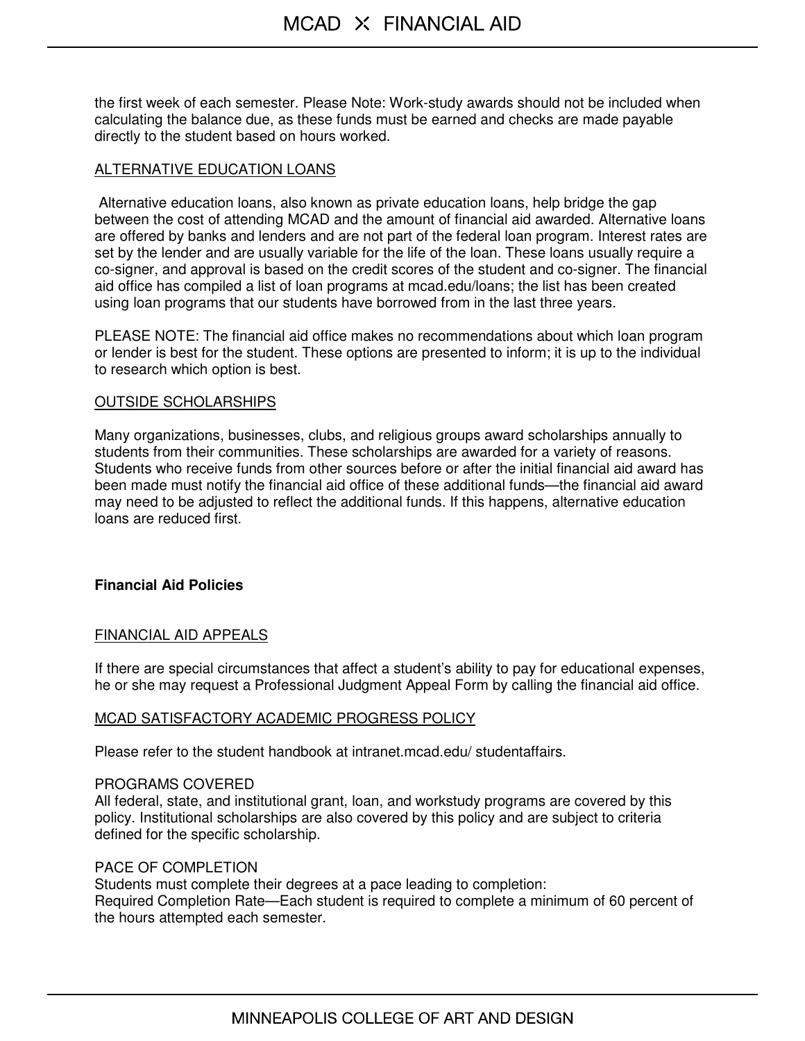the first week of each semester. Please Note: Work-study awards should not be included when calculating the balance due, as these funds must be earned and checks are made payable directly to the student based on hours worked.

# ALTERNATIVE EDUCATION LOANS

 Alternative education loans, also known as private education loans, help bridge the gap between the cost of attending MCAD and the amount of financial aid awarded. Alternative loans are offered by banks and lenders and are not part of the federal loan program. Interest rates are set by the lender and are usually variable for the life of the loan. These loans usually require a co-signer, and approval is based on the credit scores of the student and co-signer. The financial aid office has compiled a list of loan programs at mcad.edu/loans; the list has been created using loan programs that our students have borrowed from in the last three years.

PLEASE NOTE: The financial aid office makes no recommendations about which loan program or lender is best for the student. These options are presented to inform; it is up to the individual to research which option is best.

## OUTSIDE SCHOLARSHIPS

Many organizations, businesses, clubs, and religious groups award scholarships annually to students from their communities. These scholarships are awarded for a variety of reasons. Students who receive funds from other sources before or after the initial financial aid award has been made must notify the financial aid office of these additional funds—the financial aid award may need to be adjusted to reflect the additional funds. If this happens, alternative education loans are reduced first.

# **Financial Aid Policies**

# FINANCIAL AID APPEALS

If there are special circumstances that affect a student's ability to pay for educational expenses, he or she may request a Professional Judgment Appeal Form by calling the financial aid office.

#### MCAD SATISFACTORY ACADEMIC PROGRESS POLICY

Please refer to the student handbook at intranet.mcad.edu/ studentaffairs.

#### PROGRAMS COVERED

All federal, state, and institutional grant, loan, and workstudy programs are covered by this policy. Institutional scholarships are also covered by this policy and are subject to criteria defined for the specific scholarship.

# PACE OF COMPLETION

Students must complete their degrees at a pace leading to completion: Required Completion Rate—Each student is required to complete a minimum of 60 percent of the hours attempted each semester.